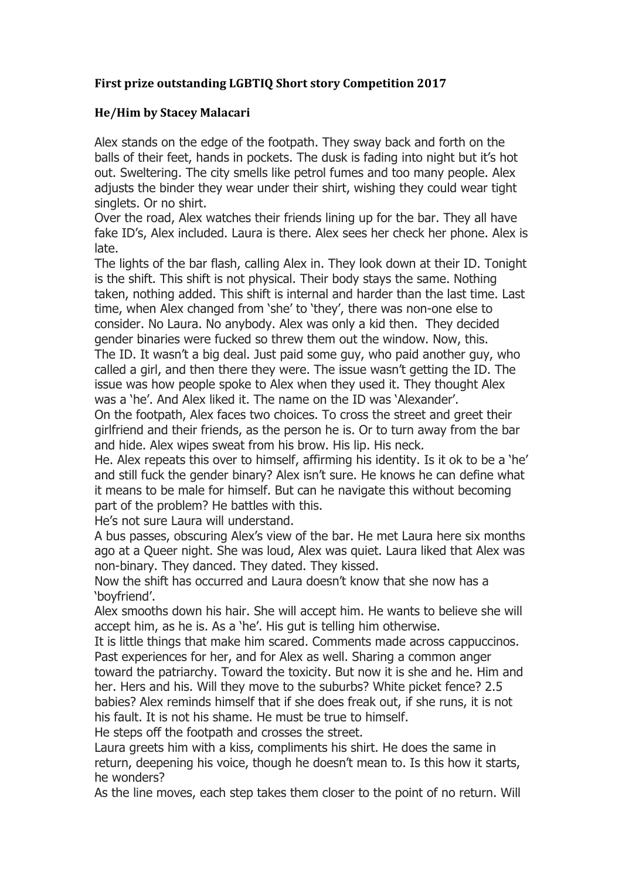## First prize outstanding LGBTIQ Short story Competition 2017

## **He/Him by Stacey Malacari**

Alex stands on the edge of the footpath. They sway back and forth on the balls of their feet, hands in pockets. The dusk is fading into night but it's hot out. Sweltering. The city smells like petrol fumes and too many people. Alex adjusts the binder they wear under their shirt, wishing they could wear tight singlets. Or no shirt.

Over the road, Alex watches their friends lining up for the bar. They all have fake ID's, Alex included. Laura is there. Alex sees her check her phone. Alex is late.

The lights of the bar flash, calling Alex in. They look down at their ID. Tonight is the shift. This shift is not physical. Their body stays the same. Nothing taken, nothing added. This shift is internal and harder than the last time. Last time, when Alex changed from 'she' to 'they', there was non-one else to consider. No Laura. No anybody. Alex was only a kid then. They decided gender binaries were fucked so threw them out the window. Now, this. The ID. It wasn't a big deal. Just paid some guy, who paid another guy, who called a girl, and then there they were. The issue wasn't getting the ID. The issue was how people spoke to Alex when they used it. They thought Alex was a 'he'. And Alex liked it. The name on the ID was 'Alexander'.

On the footpath, Alex faces two choices. To cross the street and greet their girlfriend and their friends, as the person he is. Or to turn away from the bar and hide. Alex wipes sweat from his brow. His lip. His neck.

He. Alex repeats this over to himself, affirming his identity. Is it ok to be a 'he' and still fuck the gender binary? Alex isn't sure. He knows he can define what it means to be male for himself. But can he navigate this without becoming part of the problem? He battles with this.

He's not sure Laura will understand.

A bus passes, obscuring Alex's view of the bar. He met Laura here six months ago at a Queer night. She was loud, Alex was quiet. Laura liked that Alex was non-binary. They danced. They dated. They kissed.

Now the shift has occurred and Laura doesn't know that she now has a 'boyfriend'.

Alex smooths down his hair. She will accept him. He wants to believe she will accept him, as he is. As a 'he'. His gut is telling him otherwise.

It is little things that make him scared. Comments made across cappuccinos. Past experiences for her, and for Alex as well. Sharing a common anger

toward the patriarchy. Toward the toxicity. But now it is she and he. Him and her. Hers and his. Will they move to the suburbs? White picket fence? 2.5 babies? Alex reminds himself that if she does freak out, if she runs, it is not his fault. It is not his shame. He must be true to himself.

He steps off the footpath and crosses the street.

Laura greets him with a kiss, compliments his shirt. He does the same in return, deepening his voice, though he doesn't mean to. Is this how it starts, he wonders?

As the line moves, each step takes them closer to the point of no return. Will